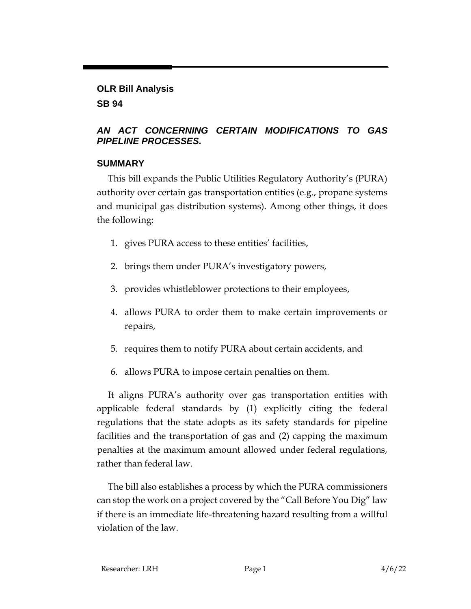## **OLR Bill Analysis**

## **SB 94**

## *AN ACT CONCERNING CERTAIN MODIFICATIONS TO GAS PIPELINE PROCESSES.*

## **SUMMARY**

This bill expands the Public Utilities Regulatory Authority's (PURA) authority over certain gas transportation entities (e.g., propane systems and municipal gas distribution systems). Among other things, it does the following:

- 1. gives PURA access to these entities' facilities,
- 2. brings them under PURA's investigatory powers,
- 3. provides whistleblower protections to their employees,
- 4. allows PURA to order them to make certain improvements or repairs,
- 5. requires them to notify PURA about certain accidents, and
- 6. allows PURA to impose certain penalties on them.

It aligns PURA's authority over gas transportation entities with applicable federal standards by (1) explicitly citing the federal regulations that the state adopts as its safety standards for pipeline facilities and the transportation of gas and (2) capping the maximum penalties at the maximum amount allowed under federal regulations, rather than federal law.

The bill also establishes a process by which the PURA commissioners can stop the work on a project covered by the "Call Before You Dig" law if there is an immediate life-threatening hazard resulting from a willful violation of the law.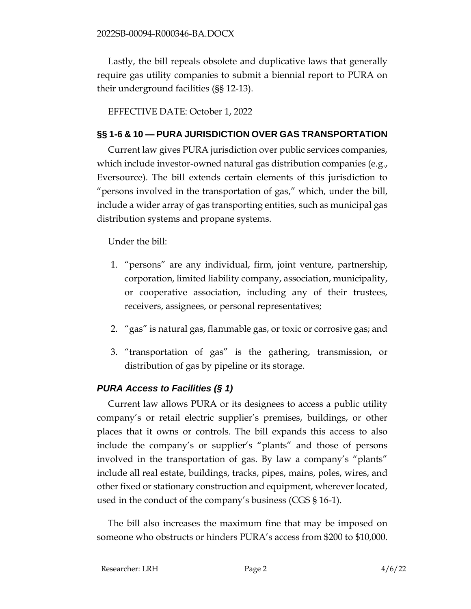Lastly, the bill repeals obsolete and duplicative laws that generally require gas utility companies to submit a biennial report to PURA on their underground facilities (§§ 12-13).

EFFECTIVE DATE: October 1, 2022

#### **§§ 1-6 & 10 — PURA JURISDICTION OVER GAS TRANSPORTATION**

Current law gives PURA jurisdiction over public services companies, which include investor-owned natural gas distribution companies (e.g., Eversource). The bill extends certain elements of this jurisdiction to "persons involved in the transportation of gas," which, under the bill, include a wider array of gas transporting entities, such as municipal gas distribution systems and propane systems.

Under the bill:

- 1. "persons" are any individual, firm, joint venture, partnership, corporation, limited liability company, association, municipality, or cooperative association, including any of their trustees, receivers, assignees, or personal representatives;
- 2. "gas" is natural gas, flammable gas, or toxic or corrosive gas; and
- 3. "transportation of gas" is the gathering, transmission, or distribution of gas by pipeline or its storage.

## *PURA Access to Facilities (§ 1)*

Current law allows PURA or its designees to access a public utility company's or retail electric supplier's premises, buildings, or other places that it owns or controls. The bill expands this access to also include the company's or supplier's "plants" and those of persons involved in the transportation of gas. By law a company's "plants" include all real estate, buildings, tracks, pipes, mains, poles, wires, and other fixed or stationary construction and equipment, wherever located, used in the conduct of the company's business (CGS § 16-1).

The bill also increases the maximum fine that may be imposed on someone who obstructs or hinders PURA's access from \$200 to \$10,000.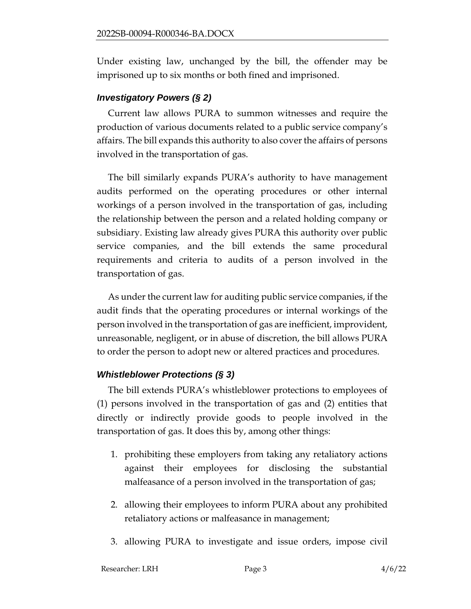Under existing law, unchanged by the bill, the offender may be imprisoned up to six months or both fined and imprisoned.

## *Investigatory Powers (§ 2)*

Current law allows PURA to summon witnesses and require the production of various documents related to a public service company's affairs. The bill expands this authority to also cover the affairs of persons involved in the transportation of gas.

The bill similarly expands PURA's authority to have management audits performed on the operating procedures or other internal workings of a person involved in the transportation of gas, including the relationship between the person and a related holding company or subsidiary. Existing law already gives PURA this authority over public service companies, and the bill extends the same procedural requirements and criteria to audits of a person involved in the transportation of gas.

As under the current law for auditing public service companies, if the audit finds that the operating procedures or internal workings of the person involved in the transportation of gas are inefficient, improvident, unreasonable, negligent, or in abuse of discretion, the bill allows PURA to order the person to adopt new or altered practices and procedures.

## *Whistleblower Protections (§ 3)*

The bill extends PURA's whistleblower protections to employees of (1) persons involved in the transportation of gas and (2) entities that directly or indirectly provide goods to people involved in the transportation of gas. It does this by, among other things:

- 1. prohibiting these employers from taking any retaliatory actions against their employees for disclosing the substantial malfeasance of a person involved in the transportation of gas;
- 2. allowing their employees to inform PURA about any prohibited retaliatory actions or malfeasance in management;
- 3. allowing PURA to investigate and issue orders, impose civil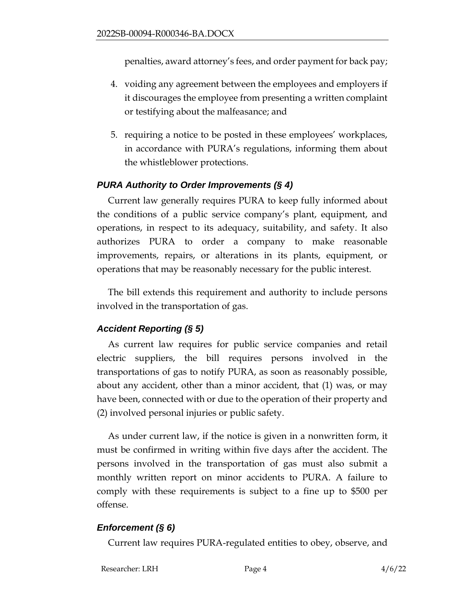penalties, award attorney's fees, and order payment for back pay;

- 4. voiding any agreement between the employees and employers if it discourages the employee from presenting a written complaint or testifying about the malfeasance; and
- 5. requiring a notice to be posted in these employees' workplaces, in accordance with PURA's regulations, informing them about the whistleblower protections.

## *PURA Authority to Order Improvements (§ 4)*

Current law generally requires PURA to keep fully informed about the conditions of a public service company's plant, equipment, and operations, in respect to its adequacy, suitability, and safety. It also authorizes PURA to order a company to make reasonable improvements, repairs, or alterations in its plants, equipment, or operations that may be reasonably necessary for the public interest.

The bill extends this requirement and authority to include persons involved in the transportation of gas.

## *Accident Reporting (§ 5)*

As current law requires for public service companies and retail electric suppliers, the bill requires persons involved in the transportations of gas to notify PURA, as soon as reasonably possible, about any accident, other than a minor accident, that (1) was, or may have been, connected with or due to the operation of their property and (2) involved personal injuries or public safety.

As under current law, if the notice is given in a nonwritten form, it must be confirmed in writing within five days after the accident. The persons involved in the transportation of gas must also submit a monthly written report on minor accidents to PURA. A failure to comply with these requirements is subject to a fine up to \$500 per offense.

## *Enforcement (§ 6)*

Current law requires PURA-regulated entities to obey, observe, and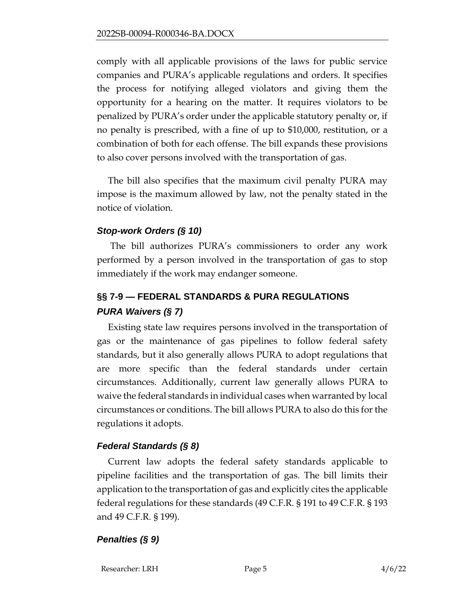comply with all applicable provisions of the laws for public service companies and PURA's applicable regulations and orders. It specifies the process for notifying alleged violators and giving them the opportunity for a hearing on the matter. It requires violators to be penalized by PURA's order under the applicable statutory penalty or, if no penalty is prescribed, with a fine of up to \$10,000, restitution, or a combination of both for each offense. The bill expands these provisions to also cover persons involved with the transportation of gas.

The bill also specifies that the maximum civil penalty PURA may impose is the maximum allowed by law, not the penalty stated in the notice of violation.

## *Stop-work Orders (§ 10)*

The bill authorizes PURA's commissioners to order any work performed by a person involved in the transportation of gas to stop immediately if the work may endanger someone.

# **§§ 7-9 — FEDERAL STANDARDS & PURA REGULATIONS** *PURA Waivers (§ 7)*

Existing state law requires persons involved in the transportation of gas or the maintenance of gas pipelines to follow federal safety standards, but it also generally allows PURA to adopt regulations that are more specific than the federal standards under certain circumstances. Additionally, current law generally allows PURA to waive the federal standards in individual cases when warranted by local circumstances or conditions. The bill allows PURA to also do this for the regulations it adopts.

## *Federal Standards (§ 8)*

Current law adopts the federal safety standards applicable to pipeline facilities and the transportation of gas. The bill limits their application to the transportation of gas and explicitly cites the applicable federal regulations for these standards (49 C.F.R. § 191 to 49 C.F.R. § 193 and 49 C.F.R. § 199).

## *Penalties (§ 9)*

Researcher: LRH Page 5 4/6/22